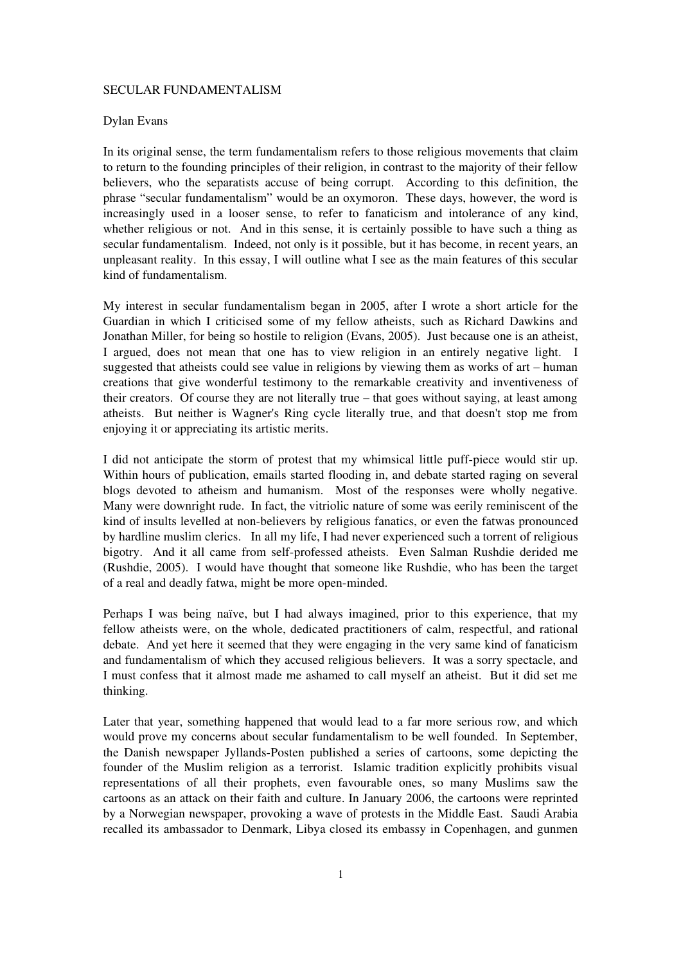#### SECULAR FUNDAMENTALISM

## Dylan Evans

In its original sense, the term fundamentalism refers to those religious movements that claim to return to the founding principles of their religion, in contrast to the majority of their fellow believers, who the separatists accuse of being corrupt. According to this definition, the phrase "secular fundamentalism" would be an oxymoron. These days, however, the word is increasingly used in a looser sense, to refer to fanaticism and intolerance of any kind, whether religious or not. And in this sense, it is certainly possible to have such a thing as secular fundamentalism. Indeed, not only is it possible, but it has become, in recent years, an unpleasant reality. In this essay, I will outline what I see as the main features of this secular kind of fundamentalism.

My interest in secular fundamentalism began in 2005, after I wrote a short article for the Guardian in which I criticised some of my fellow atheists, such as Richard Dawkins and Jonathan Miller, for being so hostile to religion (Evans, 2005). Just because one is an atheist, I argued, does not mean that one has to view religion in an entirely negative light. I suggested that atheists could see value in religions by viewing them as works of art – human creations that give wonderful testimony to the remarkable creativity and inventiveness of their creators. Of course they are not literally true – that goes without saying, at least among atheists. But neither is Wagner's Ring cycle literally true, and that doesn't stop me from enjoying it or appreciating its artistic merits.

I did not anticipate the storm of protest that my whimsical little puff-piece would stir up. Within hours of publication, emails started flooding in, and debate started raging on several blogs devoted to atheism and humanism. Most of the responses were wholly negative. Many were downright rude. In fact, the vitriolic nature of some was eerily reminiscent of the kind of insults levelled at non-believers by religious fanatics, or even the fatwas pronounced by hardline muslim clerics. In all my life, I had never experienced such a torrent of religious bigotry. And it all came from self-professed atheists. Even Salman Rushdie derided me (Rushdie, 2005). I would have thought that someone like Rushdie, who has been the target of a real and deadly fatwa, might be more open-minded.

Perhaps I was being naïve, but I had always imagined, prior to this experience, that my fellow atheists were, on the whole, dedicated practitioners of calm, respectful, and rational debate. And yet here it seemed that they were engaging in the very same kind of fanaticism and fundamentalism of which they accused religious believers. It was a sorry spectacle, and I must confess that it almost made me ashamed to call myself an atheist. But it did set me thinking.

Later that year, something happened that would lead to a far more serious row, and which would prove my concerns about secular fundamentalism to be well founded. In September, the Danish newspaper Jyllands-Posten published a series of cartoons, some depicting the founder of the Muslim religion as a terrorist. Islamic tradition explicitly prohibits visual representations of all their prophets, even favourable ones, so many Muslims saw the cartoons as an attack on their faith and culture. In January 2006, the cartoons were reprinted by a Norwegian newspaper, provoking a wave of protests in the Middle East. Saudi Arabia recalled its ambassador to Denmark, Libya closed its embassy in Copenhagen, and gunmen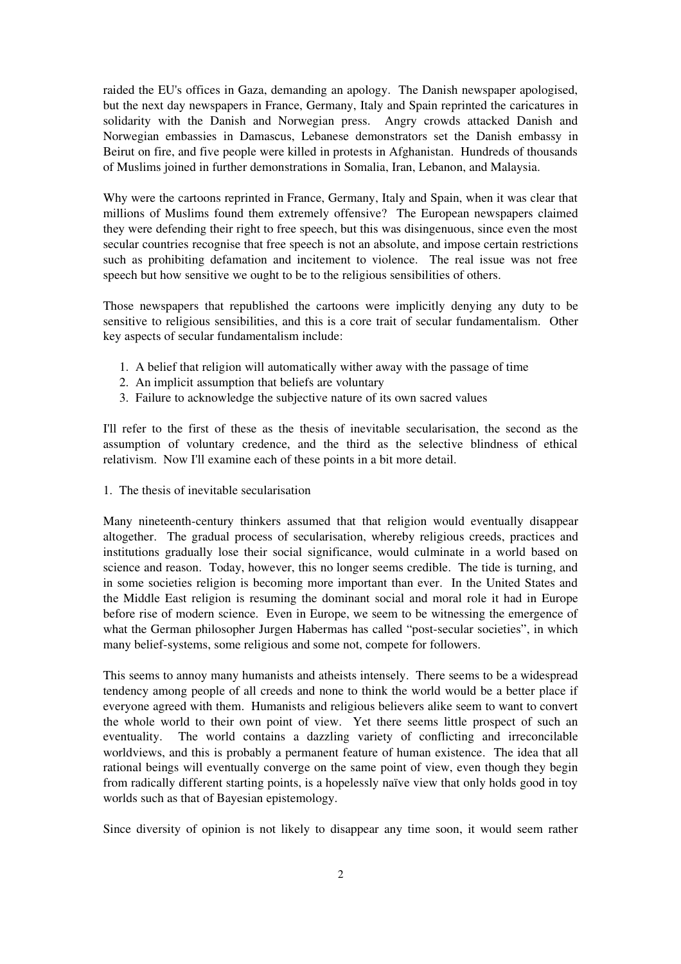raided the EU's offices in Gaza, demanding an apology. The Danish newspaper apologised, but the next day newspapers in France, Germany, Italy and Spain reprinted the caricatures in solidarity with the Danish and Norwegian press. Angry crowds attacked Danish and Norwegian embassies in Damascus, Lebanese demonstrators set the Danish embassy in Beirut on fire, and five people were killed in protests in Afghanistan. Hundreds of thousands of Muslims joined in further demonstrations in Somalia, Iran, Lebanon, and Malaysia.

Why were the cartoons reprinted in France, Germany, Italy and Spain, when it was clear that millions of Muslims found them extremely offensive? The European newspapers claimed they were defending their right to free speech, but this was disingenuous, since even the most secular countries recognise that free speech is not an absolute, and impose certain restrictions such as prohibiting defamation and incitement to violence. The real issue was not free speech but how sensitive we ought to be to the religious sensibilities of others.

Those newspapers that republished the cartoons were implicitly denying any duty to be sensitive to religious sensibilities, and this is a core trait of secular fundamentalism. Other key aspects of secular fundamentalism include:

- 1. A belief that religion will automatically wither away with the passage of time
- 2. An implicit assumption that beliefs are voluntary
- 3. Failure to acknowledge the subjective nature of its own sacred values

I'll refer to the first of these as the thesis of inevitable secularisation, the second as the assumption of voluntary credence, and the third as the selective blindness of ethical relativism. Now I'll examine each of these points in a bit more detail.

1. The thesis of inevitable secularisation

Many nineteenth-century thinkers assumed that that religion would eventually disappear altogether. The gradual process of secularisation, whereby religious creeds, practices and institutions gradually lose their social significance, would culminate in a world based on science and reason. Today, however, this no longer seems credible. The tide is turning, and in some societies religion is becoming more important than ever. In the United States and the Middle East religion is resuming the dominant social and moral role it had in Europe before rise of modern science. Even in Europe, we seem to be witnessing the emergence of what the German philosopher Jurgen Habermas has called "post-secular societies", in which many belief-systems, some religious and some not, compete for followers.

This seems to annoy many humanists and atheists intensely. There seems to be a widespread tendency among people of all creeds and none to think the world would be a better place if everyone agreed with them. Humanists and religious believers alike seem to want to convert the whole world to their own point of view. Yet there seems little prospect of such an eventuality. The world contains a dazzling variety of conflicting and irreconcilable worldviews, and this is probably a permanent feature of human existence. The idea that all rational beings will eventually converge on the same point of view, even though they begin from radically different starting points, is a hopelessly naïve view that only holds good in toy worlds such as that of Bayesian epistemology.

Since diversity of opinion is not likely to disappear any time soon, it would seem rather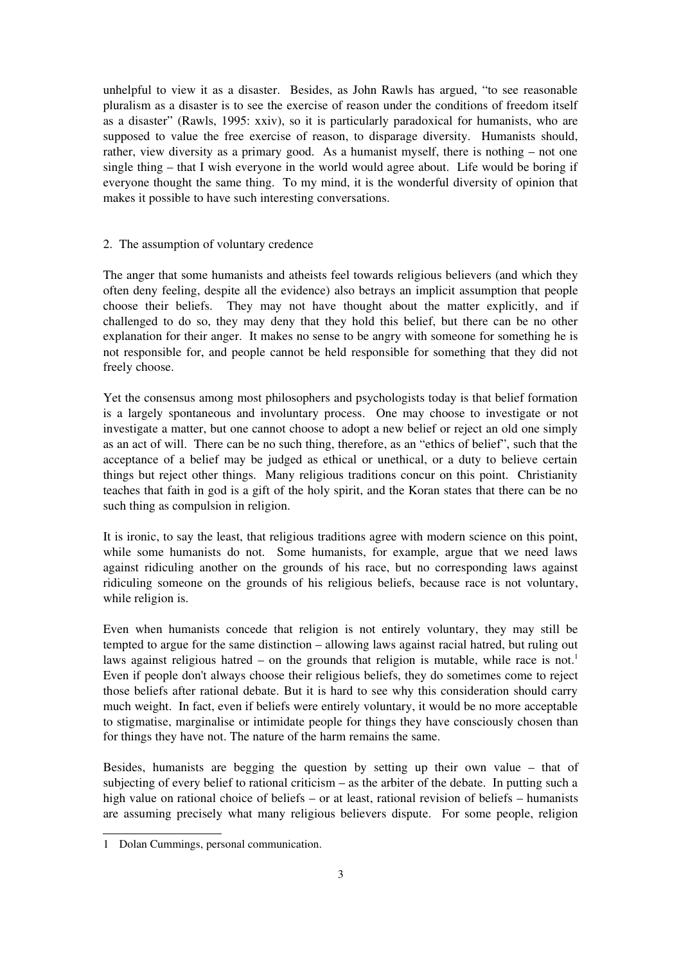unhelpful to view it as a disaster. Besides, as John Rawls has argued, "to see reasonable pluralism as a disaster is to see the exercise of reason under the conditions of freedom itself as a disaster" (Rawls, 1995: xxiv), so it is particularly paradoxical for humanists, who are supposed to value the free exercise of reason, to disparage diversity. Humanists should, rather, view diversity as a primary good. As a humanist myself, there is nothing – not one single thing – that I wish everyone in the world would agree about. Life would be boring if everyone thought the same thing. To my mind, it is the wonderful diversity of opinion that makes it possible to have such interesting conversations.

## 2. The assumption of voluntary credence

The anger that some humanists and atheists feel towards religious believers (and which they often deny feeling, despite all the evidence) also betrays an implicit assumption that people choose their beliefs. They may not have thought about the matter explicitly, and if challenged to do so, they may deny that they hold this belief, but there can be no other explanation for their anger. It makes no sense to be angry with someone for something he is not responsible for, and people cannot be held responsible for something that they did not freely choose.

Yet the consensus among most philosophers and psychologists today is that belief formation is a largely spontaneous and involuntary process. One may choose to investigate or not investigate a matter, but one cannot choose to adopt a new belief or reject an old one simply as an act of will. There can be no such thing, therefore, as an "ethics of belief", such that the acceptance of a belief may be judged as ethical or unethical, or a duty to believe certain things but reject other things. Many religious traditions concur on this point. Christianity teaches that faith in god is a gift of the holy spirit, and the Koran states that there can be no such thing as compulsion in religion.

It is ironic, to say the least, that religious traditions agree with modern science on this point, while some humanists do not. Some humanists, for example, argue that we need laws against ridiculing another on the grounds of his race, but no corresponding laws against ridiculing someone on the grounds of his religious beliefs, because race is not voluntary, while religion is.

Even when humanists concede that religion is not entirely voluntary, they may still be tempted to argue for the same distinction – allowing laws against racial hatred, but ruling out laws against religious hatred – on the grounds that religion is mutable, while race is not.<sup>1</sup> Even if people don't always choose their religious beliefs, they do sometimes come to reject those beliefs after rational debate. But it is hard to see why this consideration should carry much weight. In fact, even if beliefs were entirely voluntary, it would be no more acceptable to stigmatise, marginalise or intimidate people for things they have consciously chosen than for things they have not. The nature of the harm remains the same.

Besides, humanists are begging the question by setting up their own value – that of subjecting of every belief to rational criticism – as the arbiter of the debate. In putting such a high value on rational choice of beliefs – or at least, rational revision of beliefs – humanists are assuming precisely what many religious believers dispute. For some people, religion

<sup>1</sup> Dolan Cummings, personal communication.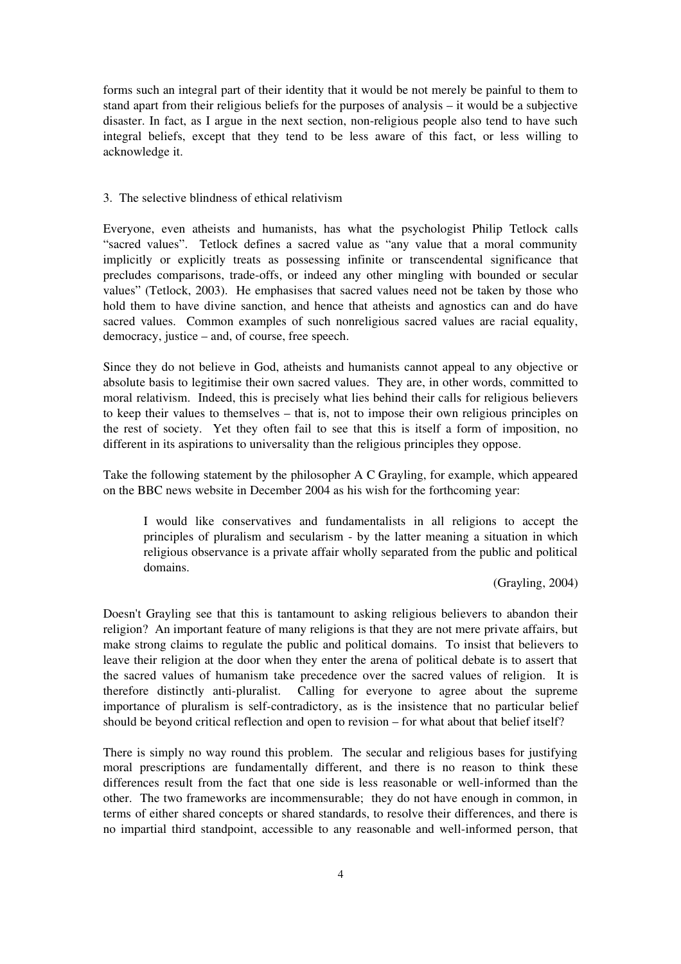forms such an integral part of their identity that it would be not merely be painful to them to stand apart from their religious beliefs for the purposes of analysis – it would be a subjective disaster. In fact, as I argue in the next section, non-religious people also tend to have such integral beliefs, except that they tend to be less aware of this fact, or less willing to acknowledge it.

# 3. The selective blindness of ethical relativism

Everyone, even atheists and humanists, has what the psychologist Philip Tetlock calls "sacred values". Tetlock defines a sacred value as "any value that a moral community implicitly or explicitly treats as possessing infinite or transcendental significance that precludes comparisons, trade-offs, or indeed any other mingling with bounded or secular values" (Tetlock, 2003). He emphasises that sacred values need not be taken by those who hold them to have divine sanction, and hence that atheists and agnostics can and do have sacred values. Common examples of such nonreligious sacred values are racial equality, democracy, justice – and, of course, free speech.

Since they do not believe in God, atheists and humanists cannot appeal to any objective or absolute basis to legitimise their own sacred values. They are, in other words, committed to moral relativism. Indeed, this is precisely what lies behind their calls for religious believers to keep their values to themselves – that is, not to impose their own religious principles on the rest of society. Yet they often fail to see that this is itself a form of imposition, no different in its aspirations to universality than the religious principles they oppose.

Take the following statement by the philosopher A C Grayling, for example, which appeared on the BBC news website in December 2004 as his wish for the forthcoming year:

I would like conservatives and fundamentalists in all religions to accept the principles of pluralism and secularism by the latter meaning a situation in which religious observance is a private affair wholly separated from the public and political domains.

(Grayling, 2004)

Doesn't Grayling see that this is tantamount to asking religious believers to abandon their religion? An important feature of many religions is that they are not mere private affairs, but make strong claims to regulate the public and political domains. To insist that believers to leave their religion at the door when they enter the arena of political debate is to assert that the sacred values of humanism take precedence over the sacred values of religion. It is therefore distinctly anti-pluralist. Calling for everyone to agree about the supreme importance of pluralism is self-contradictory, as is the insistence that no particular belief should be beyond critical reflection and open to revision – for what about that belief itself?

There is simply no way round this problem. The secular and religious bases for justifying moral prescriptions are fundamentally different, and there is no reason to think these differences result from the fact that one side is less reasonable or well-informed than the other. The two frameworks are incommensurable; they do not have enough in common, in terms of either shared concepts or shared standards, to resolve their differences, and there is no impartial third standpoint, accessible to any reasonable and wellinformed person, that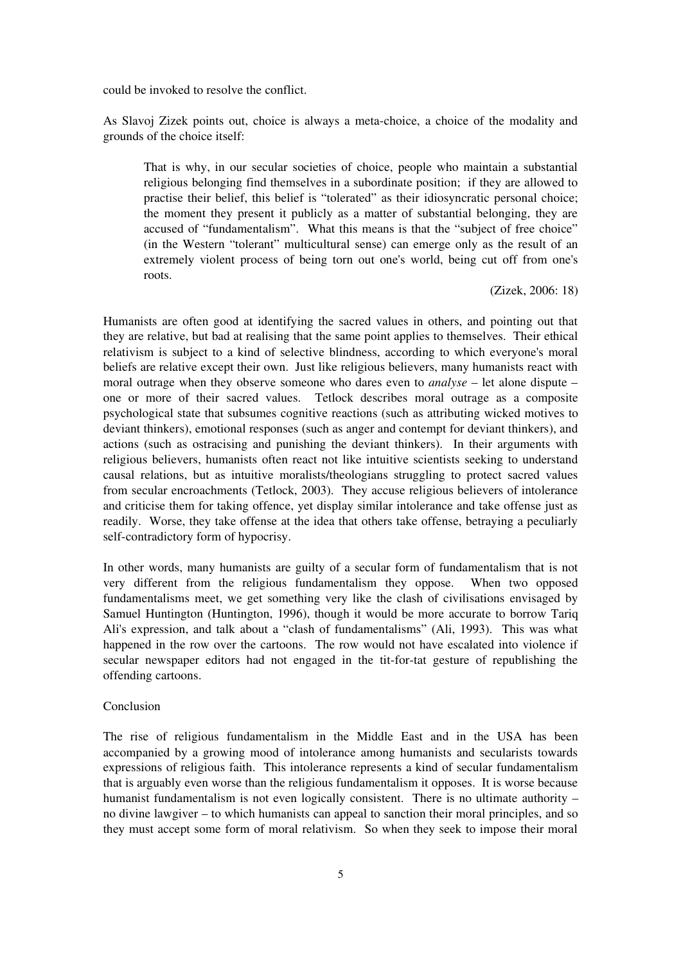could be invoked to resolve the conflict.

As Slavoj Zizek points out, choice is always a metachoice, a choice of the modality and grounds of the choice itself:

That is why, in our secular societies of choice, people who maintain a substantial religious belonging find themselves in a subordinate position; if they are allowed to practise their belief, this belief is "tolerated" as their idiosyncratic personal choice; the moment they present it publicly as a matter of substantial belonging, they are accused of "fundamentalism". What this means is that the "subject of free choice" (in the Western "tolerant" multicultural sense) can emerge only as the result of an extremely violent process of being torn out one's world, being cut off from one's roots.

(Zizek, 2006: 18)

Humanists are often good at identifying the sacred values in others, and pointing out that they are relative, but bad at realising that the same point applies to themselves. Their ethical relativism is subject to a kind of selective blindness, according to which everyone's moral beliefs are relative except their own. Just like religious believers, many humanists react with moral outrage when they observe someone who dares even to *analyse* – let alone dispute – one or more of their sacred values. Tetlock describes moral outrage as a composite psychological state that subsumes cognitive reactions (such as attributing wicked motives to deviant thinkers), emotional responses (such as anger and contempt for deviant thinkers), and actions (such as ostracising and punishing the deviant thinkers). In their arguments with religious believers, humanists often react not like intuitive scientists seeking to understand causal relations, but as intuitive moralists/theologians struggling to protect sacred values from secular encroachments (Tetlock, 2003). They accuse religious believers of intolerance and criticise them for taking offence, yet display similar intolerance and take offense just as readily. Worse, they take offense at the idea that others take offense, betraying a peculiarly self-contradictory form of hypocrisy.

In other words, many humanists are guilty of a secular form of fundamentalism that is not very different from the religious fundamentalism they oppose. When two opposed fundamentalisms meet, we get something very like the clash of civilisations envisaged by Samuel Huntington (Huntington, 1996), though it would be more accurate to borrow Tariq Ali's expression, and talk about a "clash of fundamentalisms" (Ali, 1993). This was what happened in the row over the cartoons. The row would not have escalated into violence if secular newspaper editors had not engaged in the tit-for-tat gesture of republishing the offending cartoons.

## Conclusion

The rise of religious fundamentalism in the Middle East and in the USA has been accompanied by a growing mood of intolerance among humanists and secularists towards expressions of religious faith. This intolerance represents a kind of secular fundamentalism that is arguably even worse than the religious fundamentalism it opposes. It is worse because humanist fundamentalism is not even logically consistent. There is no ultimate authority – no divine lawgiver – to which humanists can appeal to sanction their moral principles, and so they must accept some form of moral relativism. So when they seek to impose their moral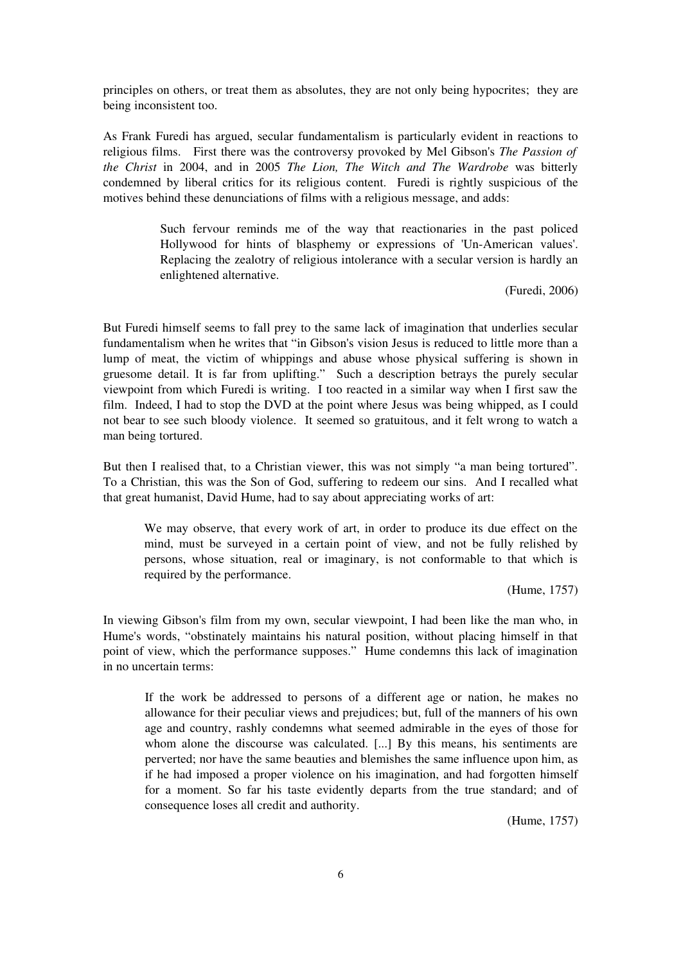principles on others, or treat them as absolutes, they are not only being hypocrites; they are being inconsistent too.

As Frank Furedi has argued, secular fundamentalism is particularly evident in reactions to religious films. First there was the controversy provoked by Mel Gibson's *The Passion of the Christ* in 2004, and in 2005 *The Lion, The Witch and The Wardrobe* was bitterly condemned by liberal critics for its religious content. Furedi is rightly suspicious of the motives behind these denunciations of films with a religious message, and adds:

> Such fervour reminds me of the way that reactionaries in the past policed Hollywood for hints of blasphemy or expressions of 'Un-American values'. Replacing the zealotry of religious intolerance with a secular version is hardly an enlightened alternative.

> > (Furedi, 2006)

But Furedi himself seems to fall prey to the same lack of imagination that underlies secular fundamentalism when he writes that "in Gibson's vision Jesus is reduced to little more than a lump of meat, the victim of whippings and abuse whose physical suffering is shown in gruesome detail. It is far from uplifting." Such a description betrays the purely secular viewpoint from which Furedi is writing. I too reacted in a similar way when I first saw the film. Indeed, I had to stop the DVD at the point where Jesus was being whipped, as I could not bear to see such bloody violence. It seemed so gratuitous, and it felt wrong to watch a man being tortured.

But then I realised that, to a Christian viewer, this was not simply "a man being tortured". To a Christian, this was the Son of God, suffering to redeem our sins. And I recalled what that great humanist, David Hume, had to say about appreciating works of art:

We may observe, that every work of art, in order to produce its due effect on the mind, must be surveyed in a certain point of view, and not be fully relished by persons, whose situation, real or imaginary, is not conformable to that which is required by the performance.

(Hume, 1757)

In viewing Gibson's film from my own, secular viewpoint, I had been like the man who, in Hume's words, "obstinately maintains his natural position, without placing himself in that point of view, which the performance supposes." Hume condemns this lack of imagination in no uncertain terms:

If the work be addressed to persons of a different age or nation, he makes no allowance for their peculiar views and prejudices; but, full of the manners of his own age and country, rashly condemns what seemed admirable in the eyes of those for whom alone the discourse was calculated. [...] By this means, his sentiments are perverted; nor have the same beauties and blemishes the same influence upon him, as if he had imposed a proper violence on his imagination, and had forgotten himself for a moment. So far his taste evidently departs from the true standard; and of consequence loses all credit and authority.

(Hume, 1757)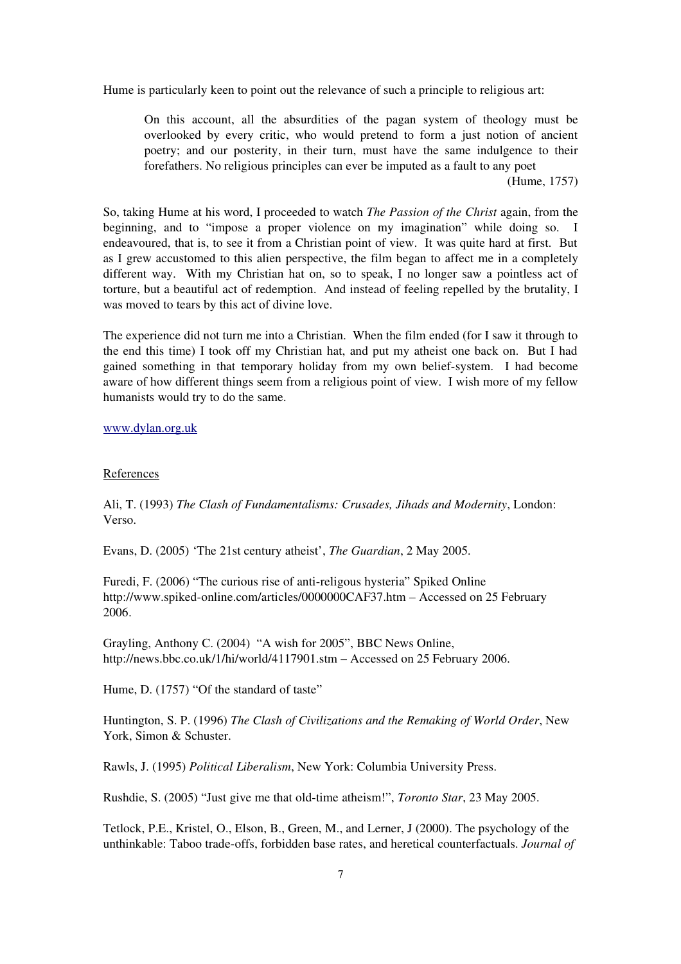Hume is particularly keen to point out the relevance of such a principle to religious art:

On this account, all the absurdities of the pagan system of theology must be overlooked by every critic, who would pretend to form a just notion of ancient poetry; and our posterity, in their turn, must have the same indulgence to their forefathers. No religious principles can ever be imputed as a fault to any poet

(Hume, 1757)

So, taking Hume at his word, I proceeded to watch *The Passion of the Christ* again, from the beginning, and to "impose a proper violence on my imagination" while doing so. I endeavoured, that is, to see it from a Christian point of view. It was quite hard at first. But as I grew accustomed to this alien perspective, the film began to affect me in a completely different way. With my Christian hat on, so to speak, I no longer saw a pointless act of torture, but a beautiful act of redemption. And instead of feeling repelled by the brutality, I was moved to tears by this act of divine love.

The experience did not turn me into a Christian. When the film ended (for I saw it through to the end this time) I took off my Christian hat, and put my atheist one back on. But I had gained something in that temporary holiday from my own belief-system. I had become aware of how different things seem from a religious point of view. I wish more of my fellow humanists would try to do the same.

www.dylan.org.uk

## References

Ali, T. (1993) *The Clash of Fundamentalisms: Crusades, Jihads and Modernity*, London: Verso.

Evans, D. (2005) 'The 21st century atheist', *The Guardian*, 2 May 2005.

Furedi, F. (2006) "The curious rise of anti-religous hysteria" Spiked Online http://www.spiked-online.com/articles/0000000CAF37.htm – Accessed on 25 February 2006.

Grayling, Anthony C. (2004) "A wish for 2005", BBC News Online, http://news.bbc.co.uk/1/hi/world/4117901.stm – Accessed on 25 February 2006.

Hume, D. (1757) "Of the standard of taste"

Huntington, S. P. (1996) *The Clash of Civilizations and the Remaking of World Order*, New York, Simon & Schuster.

Rawls, J. (1995) *Political Liberalism*, New York: Columbia University Press.

Rushdie, S. (2005) "Just give me that old-time atheism!", *Toronto Star*, 23 May 2005.

Tetlock, P.E., Kristel, O., Elson, B., Green, M., and Lerner, J (2000). The psychology of the unthinkable: Taboo trade-offs, forbidden base rates, and heretical counterfactuals. *Journal of*